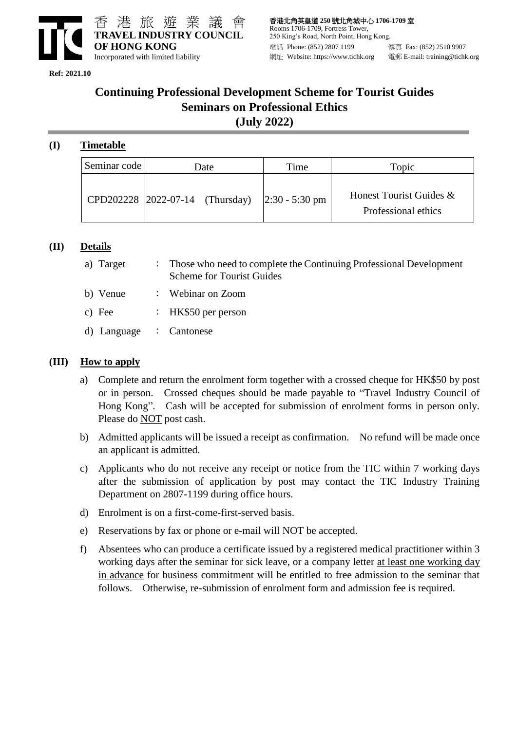

**Ref: 2021.10** 

## **Continuing Professional Development Scheme for Tourist Guides Seminars on Professional Ethics (July 2022)**

## **(I) Timetable**

| Seminar code | Date |  | Time                                           | Topic                                          |
|--------------|------|--|------------------------------------------------|------------------------------------------------|
|              |      |  | CPD202228 2022-07-14 (Thursday) 2:30 - 5:30 pm | Honest Tourist Guides &<br>Professional ethics |

#### **(II) Details**

- a) Target : Those who need to complete the Continuing Professional Development Scheme for Tourist Guides
- b) Venue : Webinar on Zoom
- c) Fee : HK\$50 per person
- d) Language : Cantonese

#### **(III) How to apply**

- a) Complete and return the enrolment form together with a crossed cheque for HK\$50 by post or in person. Crossed cheques should be made payable to "Travel Industry Council of Hong Kong". Cash will be accepted for submission of enrolment forms in person only. Please do **NOT** post cash.
- b) Admitted applicants will be issued a receipt as confirmation. No refund will be made once an applicant is admitted.
- c) Applicants who do not receive any receipt or notice from the TIC within 7 working days after the submission of application by post may contact the TIC Industry Training Department on 2807-1199 during office hours.
- d) Enrolment is on a first-come-first-served basis.
- e) Reservations by fax or phone or e-mail will NOT be accepted.
- f) Absentees who can produce a certificate issued by a registered medical practitioner within 3 working days after the seminar for sick leave, or a company letter at least one working day in advance for business commitment will be entitled to free admission to the seminar that follows. Otherwise, re-submission of enrolment form and admission fee is required.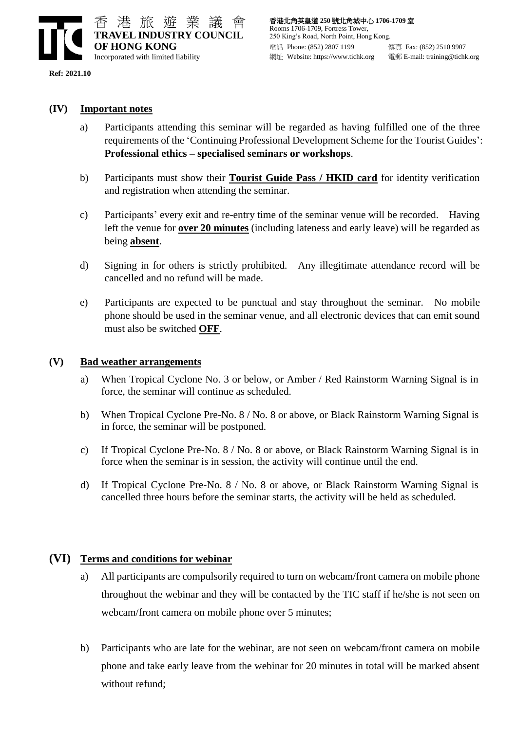

**Ref: 2021.10** 

#### **(IV) Important notes**

- a) Participants attending this seminar will be regarded as having fulfilled one of the three requirements of the 'Continuing Professional Development Scheme for the Tourist Guides': **Professional ethics – specialised seminars or workshops**.
- b) Participants must show their **Tourist Guide Pass / HKID card** for identity verification and registration when attending the seminar.
- c) Participants' every exit and re-entry time of the seminar venue will be recorded. Having left the venue for **over 20 minutes** (including lateness and early leave) will be regarded as being **absent**.
- d) Signing in for others is strictly prohibited. Any illegitimate attendance record will be cancelled and no refund will be made.
- e) Participants are expected to be punctual and stay throughout the seminar. No mobile phone should be used in the seminar venue, and all electronic devices that can emit sound must also be switched **OFF**.

#### **(V) Bad weather arrangements**

- a) When Tropical Cyclone No. 3 or below, or Amber / Red Rainstorm Warning Signal is in force, the seminar will continue as scheduled.
- b) When Tropical Cyclone Pre-No. 8 / No. 8 or above, or Black Rainstorm Warning Signal is in force, the seminar will be postponed.
- c) If Tropical Cyclone Pre-No. 8 / No. 8 or above, or Black Rainstorm Warning Signal is in force when the seminar is in session, the activity will continue until the end.
- d) If Tropical Cyclone Pre-No. 8 / No. 8 or above, or Black Rainstorm Warning Signal is cancelled three hours before the seminar starts, the activity will be held as scheduled.

### **(VI) Terms and conditions for webinar**

- a) All participants are compulsorily required to turn on webcam/front camera on mobile phone throughout the webinar and they will be contacted by the TIC staff if he/she is not seen on webcam/front camera on mobile phone over 5 minutes;
- b) Participants who are late for the webinar, are not seen on webcam/front camera on mobile phone and take early leave from the webinar for 20 minutes in total will be marked absent without refund;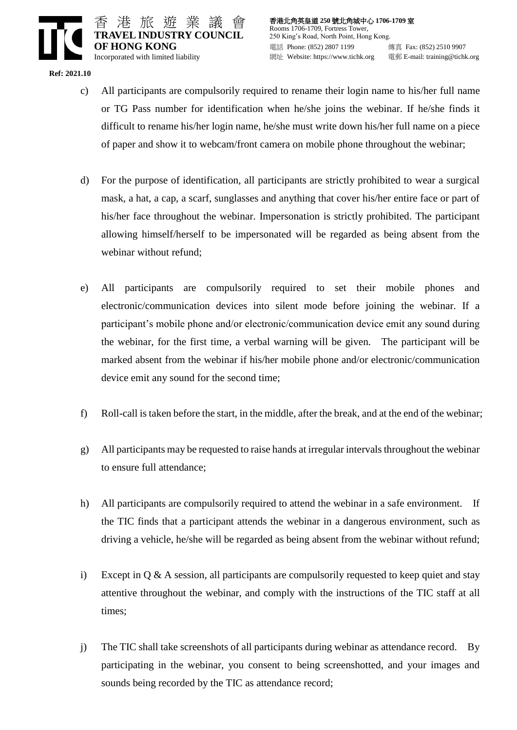

香港北角英皇道 **250** 號北角城中心 **1706-1709** 室 Rooms 1706-1709, Fortress Tower, 250 King's Road, North Point, Hong Kong. 電話 Phone: (852) 2807 1199 傳真 Fax: (852) 2510 9907 網址 Website: https://www.tichk.org 電郵 E-mail: training@tichk.org

**Ref: 2021.10** 

- c) All participants are compulsorily required to rename their login name to his/her full name or TG Pass number for identification when he/she joins the webinar. If he/she finds it difficult to rename his/her login name, he/she must write down his/her full name on a piece of paper and show it to webcam/front camera on mobile phone throughout the webinar;
- d) For the purpose of identification, all participants are strictly prohibited to wear a surgical mask, a hat, a cap, a scarf, sunglasses and anything that cover his/her entire face or part of his/her face throughout the webinar. Impersonation is strictly prohibited. The participant allowing himself/herself to be impersonated will be regarded as being absent from the webinar without refund;
- e) All participants are compulsorily required to set their mobile phones and electronic/communication devices into silent mode before joining the webinar. If a participant's mobile phone and/or electronic/communication device emit any sound during the webinar, for the first time, a verbal warning will be given. The participant will be marked absent from the webinar if his/her mobile phone and/or electronic/communication device emit any sound for the second time;
- f) Roll-call is taken before the start, in the middle, after the break, and at the end of the webinar;
- g) All participants may be requested to raise hands at irregular intervals throughout the webinar to ensure full attendance;
- h) All participants are compulsorily required to attend the webinar in a safe environment. If the TIC finds that a participant attends the webinar in a dangerous environment, such as driving a vehicle, he/she will be regarded as being absent from the webinar without refund;
- i) Except in  $Q \& A$  session, all participants are compulsorily requested to keep quiet and stay attentive throughout the webinar, and comply with the instructions of the TIC staff at all times;
- j) The TIC shall take screenshots of all participants during webinar as attendance record. By participating in the webinar, you consent to being screenshotted, and your images and sounds being recorded by the TIC as attendance record;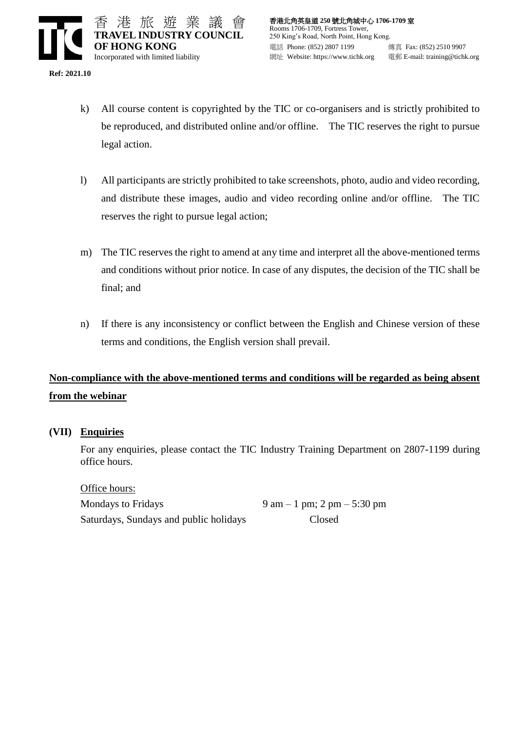**Ref: 2021.10** 

- k) All course content is copyrighted by the TIC or co-organisers and is strictly prohibited to be reproduced, and distributed online and/or offline. The TIC reserves the right to pursue legal action.
- l) All participants are strictly prohibited to take screenshots, photo, audio and video recording, and distribute these images, audio and video recording online and/or offline. The TIC reserves the right to pursue legal action;
- m) The TIC reserves the right to amend at any time and interpret all the above-mentioned terms and conditions without prior notice. In case of any disputes, the decision of the TIC shall be final; and
- n) If there is any inconsistency or conflict between the English and Chinese version of these terms and conditions, the English version shall prevail.

# **Non-compliance with the above-mentioned terms and conditions will be regarded as being absent from the webinar**

#### **(VII) Enquiries**

For any enquiries, please contact the TIC Industry Training Department on 2807-1199 during office hours.

Office hours: Mondays to Fridays 9 am – 1 pm;  $2 \text{ pm} - 5:30 \text{ pm}$ Saturdays, Sundays and public holidays Closed